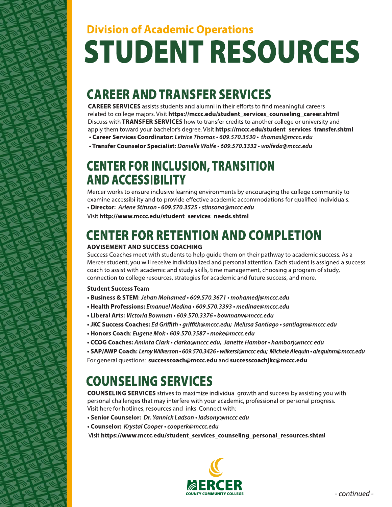# **Division of Academic Operations STUDENT RESOURCES**

### **CAREER AND TRANSFER SERVICES**

**CAREER SERVICES** assists students and alumni in their efforts to find meaningful careers related to college majors. Visit https://mccc.edu/student\_services\_counseling\_career.shtml Discuss with TRANSFER SERVICES how to transfer credits to another college or university and apply them toward your bachelor's degree. Visit https://mccc.edu/student\_services\_transfer.shtml • Career Services Coordinator: Letrice Thomas • 609.570.3530 • thomasl@mccc.edu

· Transfer Counselor Specialist: Danielle Wolfe · 609.570.3332 · wolfeda@mccc.edu

#### **CENTER FOR INCLUSION, TRANSITION AND ACCESSIBILITY**

Mercer works to ensure inclusive learning environments by encouraging the college community to examine accessibility and to provide effective academic accommodations for qualified individuals. · Director: Arlene Stinson · 609.570.3525 · stinsona@mccc.edu

Visit http://www.mccc.edu/student services needs.shtml

#### **CENTER FOR RETENTION AND COMPLETION**

#### **ADVISEMENT AND SUCCESS COACHING**

Success Coaches meet with students to help guide them on their pathway to academic success. As a Mercer student, you will receive individualized and personal attention. Each student is assigned a success coach to assist with academic and study skills, time management, choosing a program of study, connection to college resources, strategies for academic and future success, and more.

#### **Student Success Team**

- Business & STEM: Jehan Mohamed 609.570.3671 mohamedj@mccc.edu
- Health Professions: Emanuel Medina 609.570.3393 medinae@mccc.edu
- Liberal Arts: Victoria Bowman 609.570.3376 bowmanv@mccc.edu
- JKC Success Coaches: Ed Griffith griffith@mccc.edu; Melissa Santiago santiagm@mccc.edu
- Honors Coach: Eugene Mok 609.570.3587 moke@mccc.edu
- CCOG Coaches: Aminta Clark clarka@mccc.edu; Janette Hambor hamborj@mccc.edu
- SAP/AWP Coach: Leroy Wilkerson 609.570.3426 wilkersl@mccc.edu; Michele Alequin alequinm@mccc.edu

For general questions: successcoach@mccc.edu and successcoachjkc@mccc.edu

#### **COUNSELING SERVICES**

**COUNSELING SERVICES** strives to maximize individual growth and success by assisting you with personal challenges that may interfere with your academic, professional or personal progress. Visit here for hotlines, resources and links. Connect with:

- Senior Counselor: Dr. Yannick Ladson ladsony@mccc.edu
- Counselor: Krystal Cooper cooperk@mccc.edu

Visit https://www.mccc.edu/student\_services\_counseling\_personal\_resources.shtml